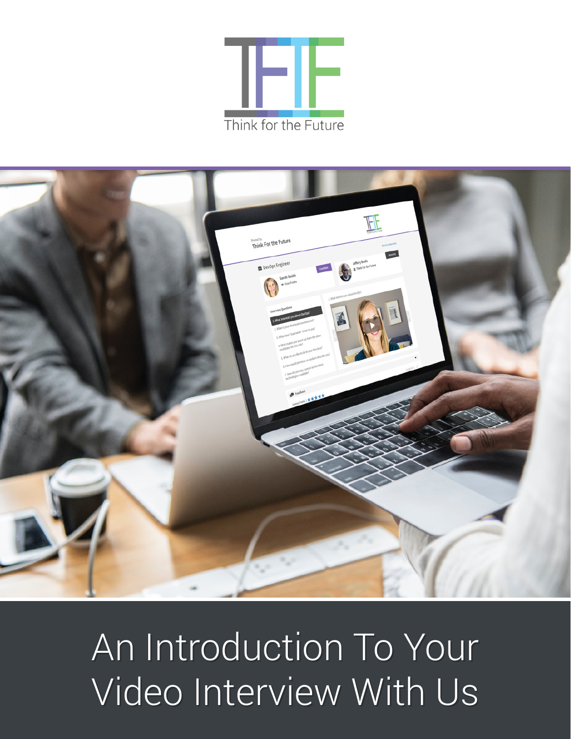



# An Introduction To Your An Introduction To Your Video Interview With Us Video Interview With Us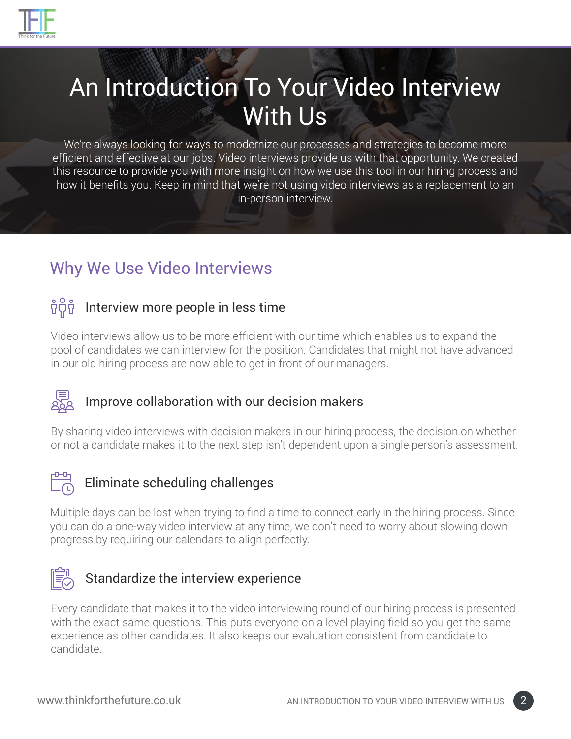

# An Introduction To Your Video Interview With Us

We're always looking for ways to modernize our processes and strategies to become more efficient and effective at our jobs. Video interviews provide us with that opportunity. We created this resource to provide you with more insight on how we use this tool in our hiring process and how it benefits you. Keep in mind that we're not using video interviews as a replacement to an in-person interview.

## Why We Use Video Interviews

#### <u>ซี้</u>บี้ซื้ Interview more people in less time

Video interviews allow us to be more efficient with our time which enables us to expand the pool of candidates we can interview for the position. Candidates that might not have advanced in our old hiring process are now able to get in front of our managers.

#### Improve collaboration with our decision makers

By sharing video interviews with decision makers in our hiring process, the decision on whether or not a candidate makes it to the next step isn't dependent upon a single person's assessment.



#### Eliminate scheduling challenges

Multiple days can be lost when trying to find a time to connect early in the hiring process. Since you can do a one-way video interview at any time, we don't need to worry about slowing down progress by requiring our calendars to align perfectly.



#### Standardize the interview experience

Every candidate that makes it to the video interviewing round of our hiring process is presented with the exact same questions. This puts everyone on a level playing field so you get the same experience as other candidates. It also keeps our evaluation consistent from candidate to candidate.